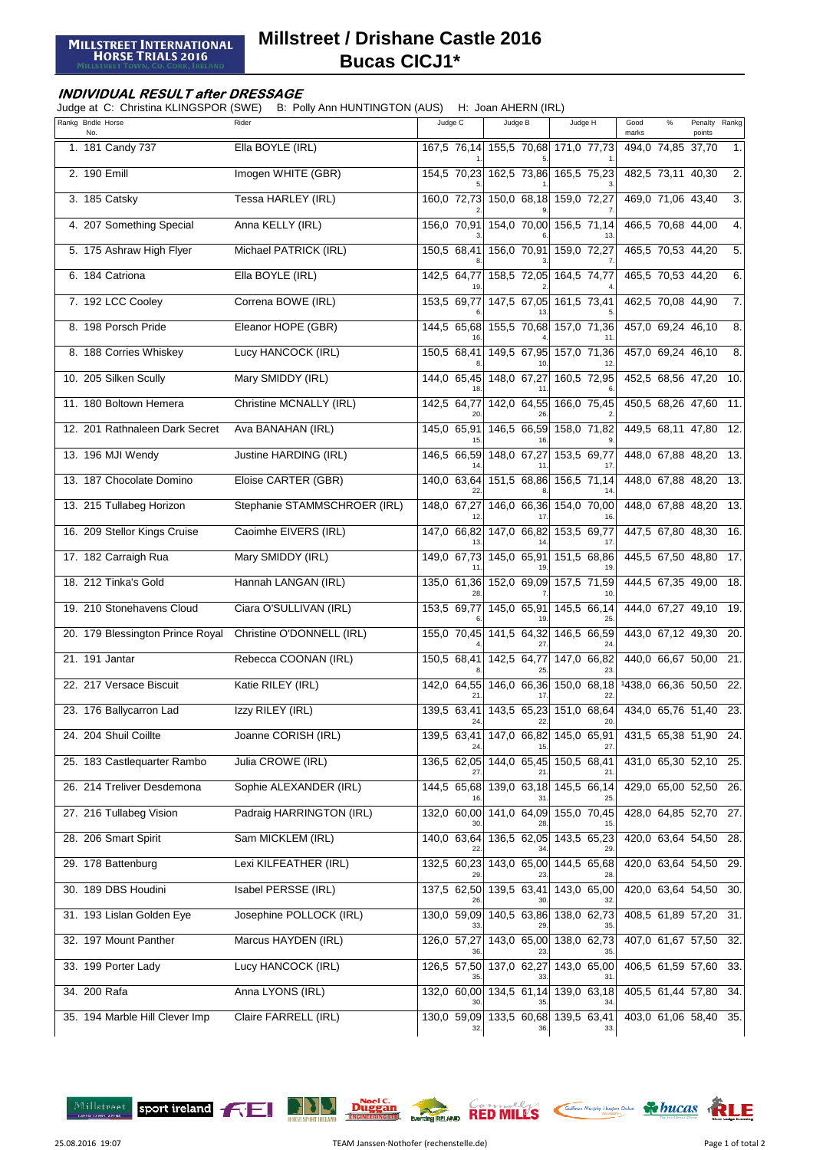## **Millstreet / Drishane Castle 2016 Bucas CICJ1\***

## **INDIVIDUAL RESULT after DRESSAGE**

Judge at C: Christina KLINGSPOR (SWE) B: Polly Ann HUNTINGTON (AUS) H: Joan AHERN (IRL)

| Rankg Bridle Horse<br>No.        | Rider                        | Judge C           | Judge B                             | Judge H                        | Good<br>$\%$<br>marks | Penalty Rankg<br>points |                  |
|----------------------------------|------------------------------|-------------------|-------------------------------------|--------------------------------|-----------------------|-------------------------|------------------|
| 1. 181 Candy 737                 | Ella BOYLE (IRL)             |                   | 167,5 76,14 155,5 70,68 171,0 77,73 |                                | 494,0 74,85 37,70     |                         | 1.               |
| 2. 190 Emill                     | Imogen WHITE (GBR)           | 154,5 70,23       |                                     | 162,5 73,86 165,5 75,23        | 482,5 73,11 40,30     |                         | 2.               |
| 3. 185 Catsky                    | Tessa HARLEY (IRL)           |                   | 160,0 72,73 150,0 68,18             | 159,0 72,27                    | 469,0 71,06 43,40     |                         | 3.               |
| 4. 207 Something Special         | Anna KELLY (IRL)             |                   | 156,0 70,91 154,0 70,00 156,5 71,14 |                                | 466,5 70,68 44,00     |                         | 4.               |
| 5. 175 Ashraw High Flyer         | Michael PATRICK (IRL)        | 150,5 68,41       | 156,0 70,91                         | 159,0 72,27                    | 465,5 70,53 44,20     |                         | 5.               |
| 6. 184 Catriona                  | Ella BOYLE (IRL)             | 142,5 64,77       | 158,5 72,05 164,5 74,77             |                                | 465,5 70,53 44,20     |                         | 6.               |
| 7. 192 LCC Cooley                | Correna BOWE (IRL)           | 153.5 69.77       | 147,5 67,05                         | 161,5 73,41                    | 462,5 70,08 44,90     |                         | $\overline{7}$ . |
| 8. 198 Porsch Pride              | Eleanor HOPE (GBR)           |                   | 144,5 65,68 155,5 70,68 157,0 71,36 |                                | 457,0 69,24 46,10     |                         | 8.               |
| 8. 188 Corries Whiskey           | Lucy HANCOCK (IRL)           | 150,5 68,41       | 149,5 67,95                         | 157,0 71,36                    | 457,0 69,24 46,10     |                         | 8.               |
| 10. 205 Silken Scully            | Mary SMIDDY (IRL)            | 144,0 65,45       | 148,0 67,27                         | 160,5 72,95                    | 452,5 68,56 47,20     |                         | 10.              |
| 11. 180 Boltown Hemera           | Christine MCNALLY (IRL)      | 142,5 64,77       | 142,0 64,55                         | 166,0 75,45                    | 450,5 68,26 47,60     |                         | 11.              |
| 12. 201 Rathnaleen Dark Secret   | Ava BANAHAN (IRL)            | 145,0 65,91       | 146,5 66,59                         | 158,0 71,82                    | 449,5 68,11 47,80     |                         | 12.              |
| 13. 196 MJI Wendy                | Justine HARDING (IRL)        | 146,5 66,59       | 148,0 67,27                         | 153,5 69,77                    | 448,0 67,88 48,20     |                         | 13.              |
| 13. 187 Chocolate Domino         | Eloise CARTER (GBR)          | 140,0 63,64       | 151,5 68,86                         | 156,5 71,14                    | 448,0 67,88 48,20     |                         | 13.              |
| 13. 215 Tullabeg Horizon         | Stephanie STAMMSCHROER (IRL) | 148,0 67,27       | 146,0 66,36                         | 154,0 70,00                    | 448,0 67,88 48,20     |                         | 13.              |
| 16. 209 Stellor Kings Cruise     | Caoimhe EIVERS (IRL)         | 147,0 66,82       | 147,0 66,82                         | 153,5 69,77                    | 447,5 67,80 48,30     |                         | 16.              |
| 17. 182 Carraigh Rua             | Mary SMIDDY (IRL)            | 149,0 67,73       | 145,0 65,91                         | 151,5 68,86                    | 445,5 67,50 48,80     |                         | 17.              |
| 18. 212 Tinka's Gold             | Hannah LANGAN (IRL)          | 135,0 61,36       | 152,0 69,09                         | 157,5 71,59                    | 444,5 67,35 49,00     |                         | 18.              |
| 19. 210 Stonehavens Cloud        | Ciara O'SULLIVAN (IRL)       | 153,5 69,77       | 145,0 65,91                         | 145,5 66,14                    | 444,0 67,27 49,10     |                         | 19.              |
| 20. 179 Blessington Prince Royal | Christine O'DONNELL (IRL)    | 155,0 70,45       | 141,5 64,32                         | 146,5 66,59                    | 443,0 67,12 49,30     |                         | 20.              |
| 21. 191 Jantar                   | Rebecca COONAN (IRL)         | 150,5 68,41       | 142,5 64,77                         | 147,0 66,82                    | 440,0 66,67 50,00     |                         | 21               |
| 22. 217 Versace Biscuit          | Katie RILEY (IRL)            | 142,0 64,55       | 146,0 66,36                         | $150,0$ 68,18                  | 1438,0 66,36 50,50    |                         | 22.              |
| 23. 176 Ballycarron Lad          | Izzy RILEY (IRL)             | 139,5 63,41<br>24 | 22                                  | 143,5 65,23 151,0 68,64<br>20. | 434,0 65,76 51,40     |                         | 23.              |
| 24. 204 Shuil Coillte            | Joanne CORISH (IRL)          |                   | 139,5 63,41 147,0 66,82 145,0 65,91 |                                | 431,5 65,38 51,90 24. |                         |                  |
| 25. 183 Castlequarter Rambo      | Julia CROWE (IRL)            | 136,5 62,05       |                                     | 144,0 65,45 150,5 68,41        | 431,0 65,30 52,10 25. |                         |                  |
| 26. 214 Treliver Desdemona       | Sophie ALEXANDER (IRL)       |                   | 144,5 65,68 139,0 63,18 145,5 66,14 |                                | 429,0 65,00 52,50 26. |                         |                  |
| 27. 216 Tullabeg Vision          | Padraig HARRINGTON (IRL)     |                   | 132,0 60,00 141,0 64,09 155,0 70,45 |                                | 428,0 64,85 52,70 27. |                         |                  |
| 28. 206 Smart Spirit             | Sam MICKLEM (IRL)            |                   | 140,0 63,64 136,5 62,05 143,5 65,23 |                                | 420,0 63,64 54,50 28. |                         |                  |
| 29. 178 Battenburg               | Lexi KILFEATHER (IRL)        | 132,5 60,23       | 143,0 65,00                         | 144,5 65,68                    | 420,0 63,64 54,50 29. |                         |                  |
| 30. 189 DBS Houdini              | Isabel PERSSE (IRL)          |                   | 137,5 62,50 139,5 63,41             | 143,0 65,00                    | 420,0 63,64 54,50     |                         | 30.              |
| 31. 193 Lislan Golden Eye        | Josephine POLLOCK (IRL)      | 130,0 59,09       | 140,5 63,86                         | 138,0 62,73                    | 408,5 61,89 57,20     |                         | 31.              |
| 32. 197 Mount Panther            | Marcus HAYDEN (IRL)          | 126,0 57,27       | 143,0 65,00 138,0 62,73             |                                | 407,0 61,67 57,50     |                         | 32.              |
| 33. 199 Porter Lady              | Lucy HANCOCK (IRL)           |                   | 126,5 57,50 137,0 62,27             | 143,0 65,00                    | 406,5 61,59 57,60     |                         | 33.              |
| 34. 200 Rafa                     | Anna LYONS (IRL)             |                   | 132,0 60,00 134,5 61,14 139,0 63,18 |                                | 405,5 61,44 57,80 34. |                         |                  |
| 35. 194 Marble Hill Clever Imp   | Claire FARRELL (IRL)         | 32.               | 130,0 59,09 133,5 60,68 139,5 63,41 | 33.                            | 403,0 61,06 58,40 35. |                         |                  |